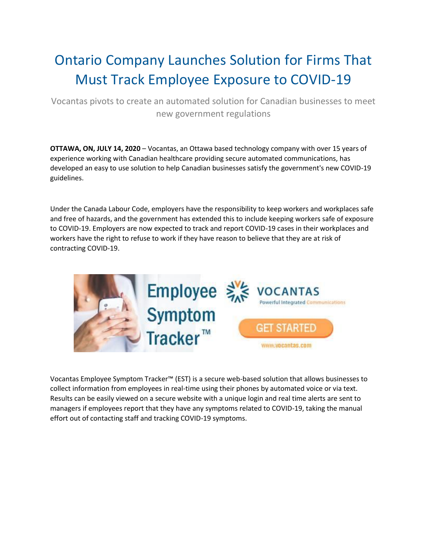## Ontario Company Launches Solution for Firms That Must Track Employee Exposure to COVID-19

Vocantas pivots to create an automated solution for Canadian businesses to meet new government regulations

**OTTAWA, ON, JULY 14, 2020** – Vocantas, an Ottawa based technology company with over 15 years of experience working with Canadian healthcare providing secure automated communications, has developed an easy to use solution to help Canadian businesses satisfy the government's new COVID-19 guidelines.

Under the Canada Labour Code, employers have the responsibility to keep workers and workplaces safe and free of hazards, and the government has extended this to include keeping workers safe of exposure to COVID-19. Employers are now expected to track and report COVID-19 cases in their workplaces and workers have the right to refuse to work if they have reason to believe that they are at risk of contracting COVID-19.



Vocantas Employee Symptom Tracker™ (EST) is a secure web-based solution that allows businesses to collect information from employees in real-time using their phones by automated voice or via text. Results can be easily viewed on a secure website with a unique login and real time alerts are sent to managers if employees report that they have any symptoms related to COVID-19, taking the manual effort out of contacting staff and tracking COVID-19 symptoms.